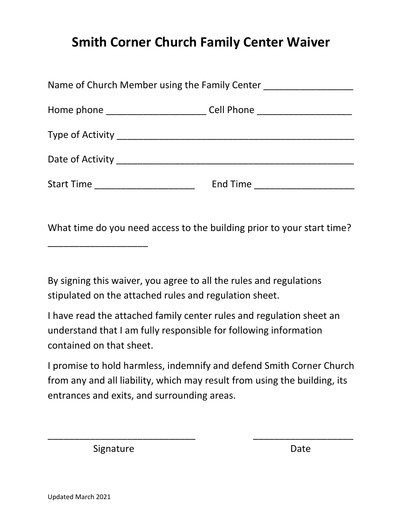## **Smith Corner Church Family Center Waiver**

| Name of Church Member using the Family Center [100] Mame of Church Member using the Family Center |                             |
|---------------------------------------------------------------------------------------------------|-----------------------------|
| Home phone _____________________________Cell Phone _____________________________                  |                             |
|                                                                                                   |                             |
|                                                                                                   |                             |
| Start Time _______________________                                                                | End Time __________________ |

What time do you need access to the building prior to your start time?

By signing this waiver, you agree to all the rules and regulations stipulated on the attached rules and regulation sheet.

I have read the attached family center rules and regulation sheet an understand that I am fully responsible for following information contained on that sheet.

I promise to hold harmless, indemnify and defend Smith Corner Church from any and all liability, which may result from using the building, its entrances and exits, and surrounding areas.

 $\overline{\phantom{a}}$  , and the contract of the contract of the contract of the contract of the contract of the contract of the contract of the contract of the contract of the contract of the contract of the contract of the contrac

Signature Date

\_\_\_\_\_\_\_\_\_\_\_\_\_\_\_\_\_\_\_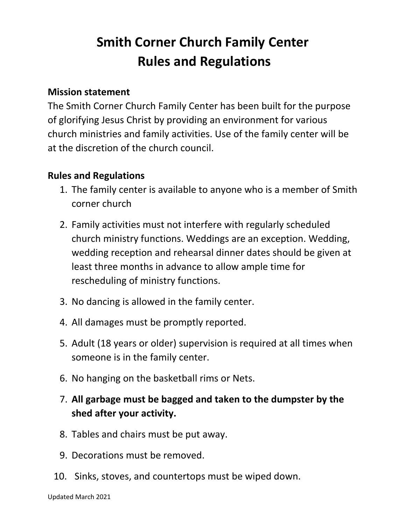## **Smith Corner Church Family Center Rules and Regulations**

## **Mission statement**

The Smith Corner Church Family Center has been built for the purpose of glorifying Jesus Christ by providing an environment for various church ministries and family activities. Use of the family center will be at the discretion of the church council.

## **Rules and Regulations**

- 1. The family center is available to anyone who is a member of Smith corner church
- 2. Family activities must not interfere with regularly scheduled church ministry functions. Weddings are an exception. Wedding, wedding reception and rehearsal dinner dates should be given at least three months in advance to allow ample time for rescheduling of ministry functions.
- 3. No dancing is allowed in the family center.
- 4. All damages must be promptly reported.
- 5. Adult (18 years or older) supervision is required at all times when someone is in the family center.
- 6. No hanging on the basketball rims or Nets.
- 7. **All garbage must be bagged and taken to the dumpster by the shed after your activity.**
- 8. Tables and chairs must be put away.
- 9. Decorations must be removed.
- 10. Sinks, stoves, and countertops must be wiped down.